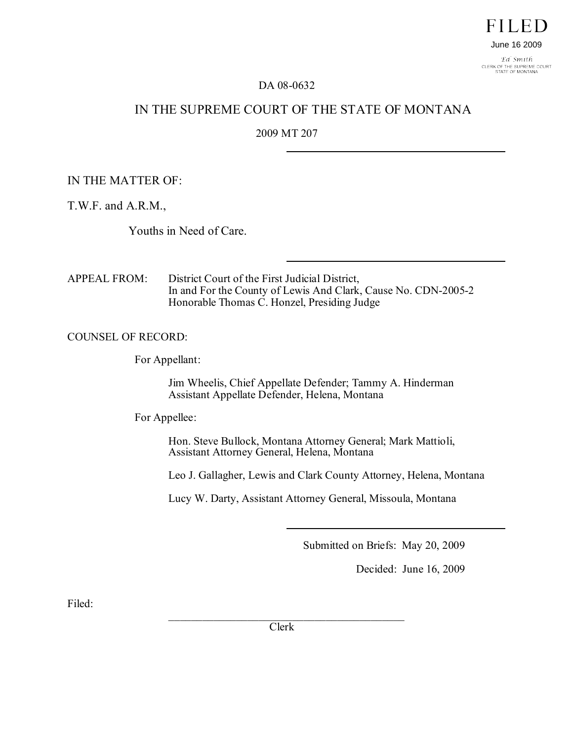

Ed Smith CLERK OF THE SUPREME COURT<br>STATE OF MONTANA

## DA 08-0632

# IN THE SUPREME COURT OF THE STATE OF MONTANA

# 2009 MT 207

## IN THE MATTER OF:

T.W.F. and A.R.M.,

Youths in Need of Care.

APPEAL FROM: District Court of the First Judicial District, In and For the County of Lewis And Clark, Cause No. CDN-2005-2 Honorable Thomas C. Honzel, Presiding Judge

## COUNSEL OF RECORD:

For Appellant:

Jim Wheelis, Chief Appellate Defender; Tammy A. Hinderman Assistant Appellate Defender, Helena, Montana

For Appellee:

Hon. Steve Bullock, Montana Attorney General; Mark Mattioli, Assistant Attorney General, Helena, Montana

Leo J. Gallagher, Lewis and Clark County Attorney, Helena, Montana

Lucy W. Darty, Assistant Attorney General, Missoula, Montana

Submitted on Briefs: May 20, 2009

Decided: June 16, 2009

Filed:

 $\mathcal{L}_\mathcal{L}$  , where  $\mathcal{L}_\mathcal{L}$  is the set of the set of the set of the set of the set of the set of the set of the set of the set of the set of the set of the set of the set of the set of the set of the set of the Clerk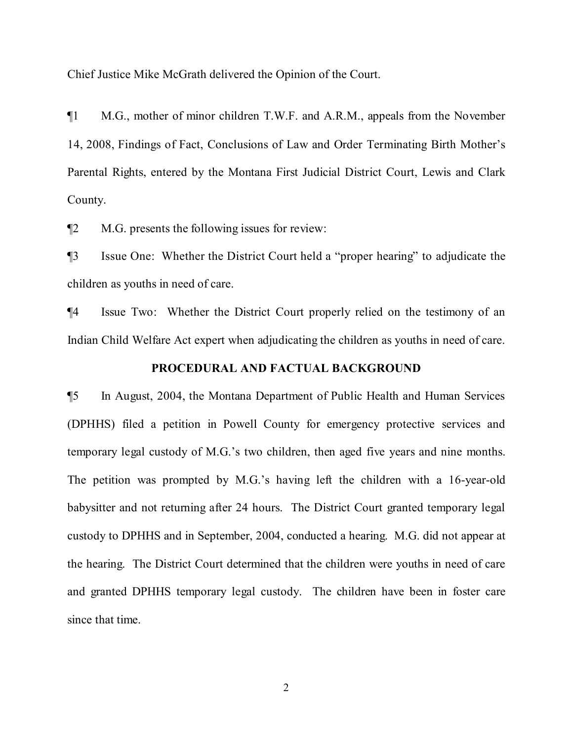Chief Justice Mike McGrath delivered the Opinion of the Court.

¶1 M.G., mother of minor children T.W.F. and A.R.M., appeals from the November 14, 2008, Findings of Fact, Conclusions of Law and Order Terminating Birth Mother's Parental Rights, entered by the Montana First Judicial District Court, Lewis and Clark County.

¶2 M.G. presents the following issues for review:

¶3 Issue One: Whether the District Court held a "proper hearing" to adjudicate the children as youths in need of care.

¶4 Issue Two: Whether the District Court properly relied on the testimony of an Indian Child Welfare Act expert when adjudicating the children as youths in need of care.

### **PROCEDURAL AND FACTUAL BACKGROUND**

¶5 In August, 2004, the Montana Department of Public Health and Human Services (DPHHS) filed a petition in Powell County for emergency protective services and temporary legal custody of M.G.'s two children, then aged five years and nine months. The petition was prompted by M.G.'s having left the children with a 16-year-old babysitter and not returning after 24 hours. The District Court granted temporary legal custody to DPHHS and in September, 2004, conducted a hearing. M.G. did not appear at the hearing. The District Court determined that the children were youths in need of care and granted DPHHS temporary legal custody. The children have been in foster care since that time.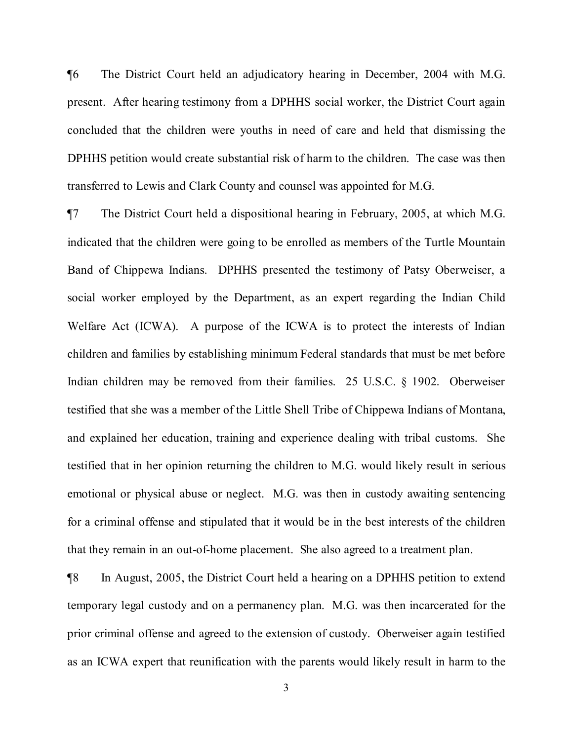¶6 The District Court held an adjudicatory hearing in December, 2004 with M.G. present. After hearing testimony from a DPHHS social worker, the District Court again concluded that the children were youths in need of care and held that dismissing the DPHHS petition would create substantial risk of harm to the children. The case was then transferred to Lewis and Clark County and counsel was appointed for M.G.

¶7 The District Court held a dispositional hearing in February, 2005, at which M.G. indicated that the children were going to be enrolled as members of the Turtle Mountain Band of Chippewa Indians. DPHHS presented the testimony of Patsy Oberweiser, a social worker employed by the Department, as an expert regarding the Indian Child Welfare Act (ICWA). A purpose of the ICWA is to protect the interests of Indian children and families by establishing minimum Federal standards that must be met before Indian children may be removed from their families. 25 U.S.C. § 1902. Oberweiser testified that she was a member of the Little Shell Tribe of Chippewa Indians of Montana, and explained her education, training and experience dealing with tribal customs. She testified that in her opinion returning the children to M.G. would likely result in serious emotional or physical abuse or neglect. M.G. was then in custody awaiting sentencing for a criminal offense and stipulated that it would be in the best interests of the children that they remain in an out-of-home placement. She also agreed to a treatment plan.

¶8 In August, 2005, the District Court held a hearing on a DPHHS petition to extend temporary legal custody and on a permanency plan. M.G. was then incarcerated for the prior criminal offense and agreed to the extension of custody. Oberweiser again testified as an ICWA expert that reunification with the parents would likely result in harm to the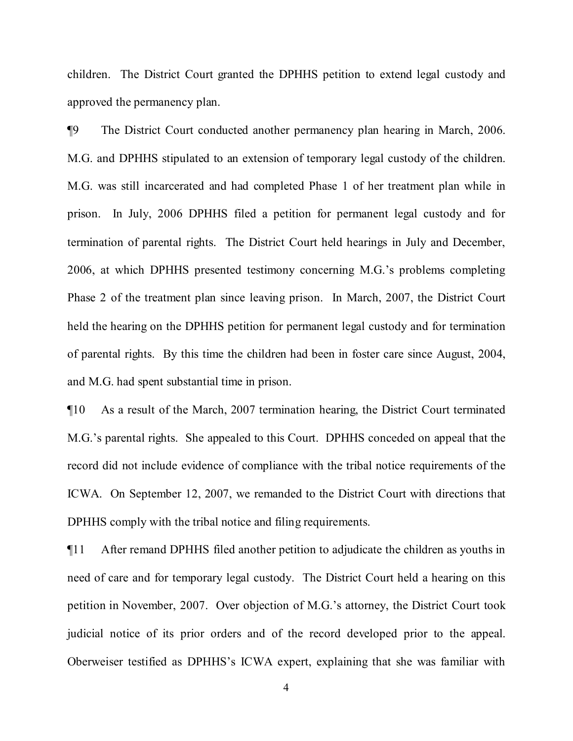children. The District Court granted the DPHHS petition to extend legal custody and approved the permanency plan.

¶9 The District Court conducted another permanency plan hearing in March, 2006. M.G. and DPHHS stipulated to an extension of temporary legal custody of the children. M.G. was still incarcerated and had completed Phase 1 of her treatment plan while in prison. In July, 2006 DPHHS filed a petition for permanent legal custody and for termination of parental rights. The District Court held hearings in July and December, 2006, at which DPHHS presented testimony concerning M.G.'s problems completing Phase 2 of the treatment plan since leaving prison. In March, 2007, the District Court held the hearing on the DPHHS petition for permanent legal custody and for termination of parental rights. By this time the children had been in foster care since August, 2004, and M.G. had spent substantial time in prison.

¶10 As a result of the March, 2007 termination hearing, the District Court terminated M.G.'s parental rights. She appealed to this Court. DPHHS conceded on appeal that the record did not include evidence of compliance with the tribal notice requirements of the ICWA. On September 12, 2007, we remanded to the District Court with directions that DPHHS comply with the tribal notice and filing requirements.

¶11 After remand DPHHS filed another petition to adjudicate the children as youths in need of care and for temporary legal custody. The District Court held a hearing on this petition in November, 2007. Over objection of M.G.'s attorney, the District Court took judicial notice of its prior orders and of the record developed prior to the appeal. Oberweiser testified as DPHHS's ICWA expert, explaining that she was familiar with

4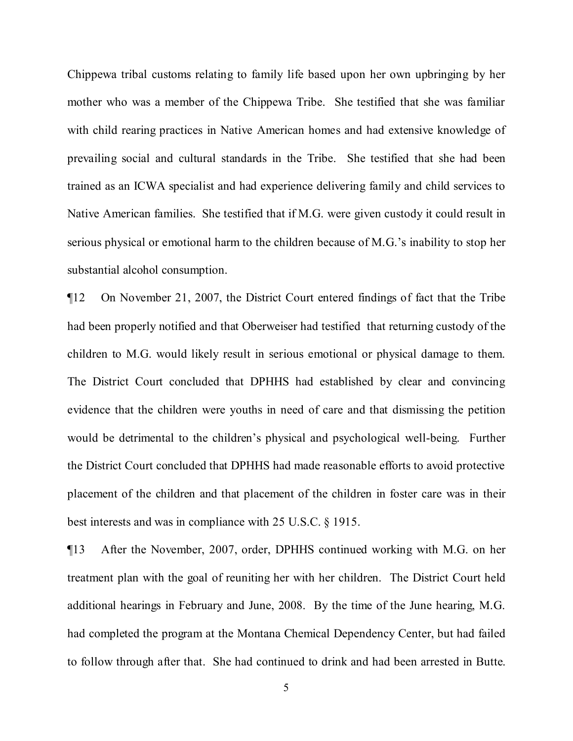Chippewa tribal customs relating to family life based upon her own upbringing by her mother who was a member of the Chippewa Tribe. She testified that she was familiar with child rearing practices in Native American homes and had extensive knowledge of prevailing social and cultural standards in the Tribe. She testified that she had been trained as an ICWA specialist and had experience delivering family and child services to Native American families. She testified that if M.G. were given custody it could result in serious physical or emotional harm to the children because of M.G.'s inability to stop her substantial alcohol consumption.

¶12 On November 21, 2007, the District Court entered findings of fact that the Tribe had been properly notified and that Oberweiser had testified that returning custody of the children to M.G. would likely result in serious emotional or physical damage to them. The District Court concluded that DPHHS had established by clear and convincing evidence that the children were youths in need of care and that dismissing the petition would be detrimental to the children's physical and psychological well-being. Further the District Court concluded that DPHHS had made reasonable efforts to avoid protective placement of the children and that placement of the children in foster care was in their best interests and was in compliance with 25 U.S.C. § 1915.

¶13 After the November, 2007, order, DPHHS continued working with M.G. on her treatment plan with the goal of reuniting her with her children. The District Court held additional hearings in February and June, 2008. By the time of the June hearing, M.G. had completed the program at the Montana Chemical Dependency Center, but had failed to follow through after that. She had continued to drink and had been arrested in Butte.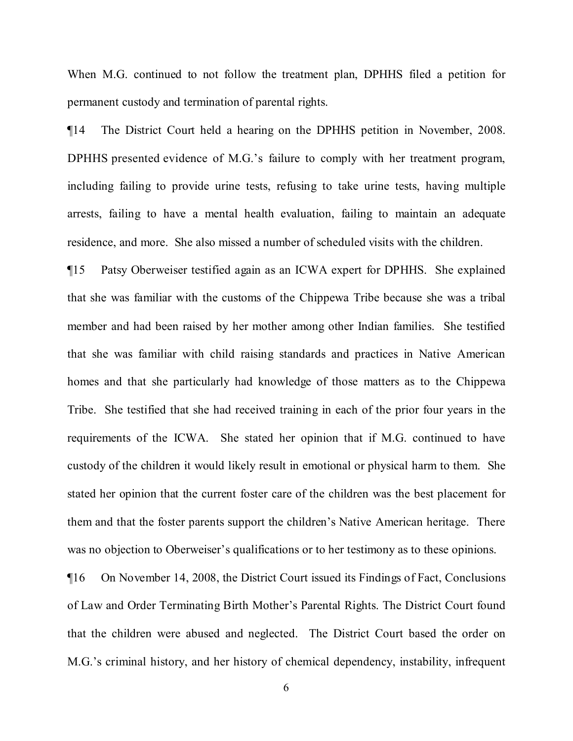When M.G. continued to not follow the treatment plan, DPHHS filed a petition for permanent custody and termination of parental rights.

¶14 The District Court held a hearing on the DPHHS petition in November, 2008. DPHHS presented evidence of M.G.'s failure to comply with her treatment program, including failing to provide urine tests, refusing to take urine tests, having multiple arrests, failing to have a mental health evaluation, failing to maintain an adequate residence, and more. She also missed a number of scheduled visits with the children.

¶15 Patsy Oberweiser testified again as an ICWA expert for DPHHS. She explained that she was familiar with the customs of the Chippewa Tribe because she was a tribal member and had been raised by her mother among other Indian families. She testified that she was familiar with child raising standards and practices in Native American homes and that she particularly had knowledge of those matters as to the Chippewa Tribe. She testified that she had received training in each of the prior four years in the requirements of the ICWA. She stated her opinion that if M.G. continued to have custody of the children it would likely result in emotional or physical harm to them. She stated her opinion that the current foster care of the children was the best placement for them and that the foster parents support the children's Native American heritage. There was no objection to Oberweiser's qualifications or to her testimony as to these opinions.

¶16 On November 14, 2008, the District Court issued its Findings of Fact, Conclusions of Law and Order Terminating Birth Mother's Parental Rights. The District Court found that the children were abused and neglected. The District Court based the order on M.G.'s criminal history, and her history of chemical dependency, instability, infrequent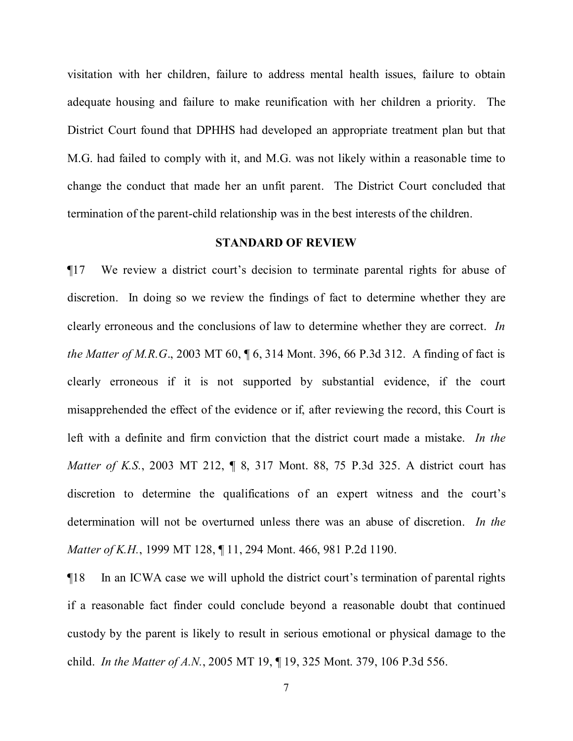visitation with her children, failure to address mental health issues, failure to obtain adequate housing and failure to make reunification with her children a priority. The District Court found that DPHHS had developed an appropriate treatment plan but that M.G. had failed to comply with it, and M.G. was not likely within a reasonable time to change the conduct that made her an unfit parent. The District Court concluded that termination of the parent-child relationship was in the best interests of the children.

## **STANDARD OF REVIEW**

¶17 We review a district court's decision to terminate parental rights for abuse of discretion. In doing so we review the findings of fact to determine whether they are clearly erroneous and the conclusions of law to determine whether they are correct. *In the Matter of M.R.G*., 2003 MT 60, ¶ 6, 314 Mont. 396, 66 P.3d 312. A finding of fact is clearly erroneous if it is not supported by substantial evidence, if the court misapprehended the effect of the evidence or if, after reviewing the record, this Court is left with a definite and firm conviction that the district court made a mistake. *In the Matter of K.S.*, 2003 MT 212, ¶ 8, 317 Mont. 88, 75 P.3d 325. A district court has discretion to determine the qualifications of an expert witness and the court's determination will not be overturned unless there was an abuse of discretion. *In the Matter of K.H.*, 1999 MT 128, ¶ 11, 294 Mont. 466, 981 P.2d 1190.

¶18 In an ICWA case we will uphold the district court's termination of parental rights if a reasonable fact finder could conclude beyond a reasonable doubt that continued custody by the parent is likely to result in serious emotional or physical damage to the child. *In the Matter of A.N.*, 2005 MT 19, ¶ 19, 325 Mont. 379, 106 P.3d 556.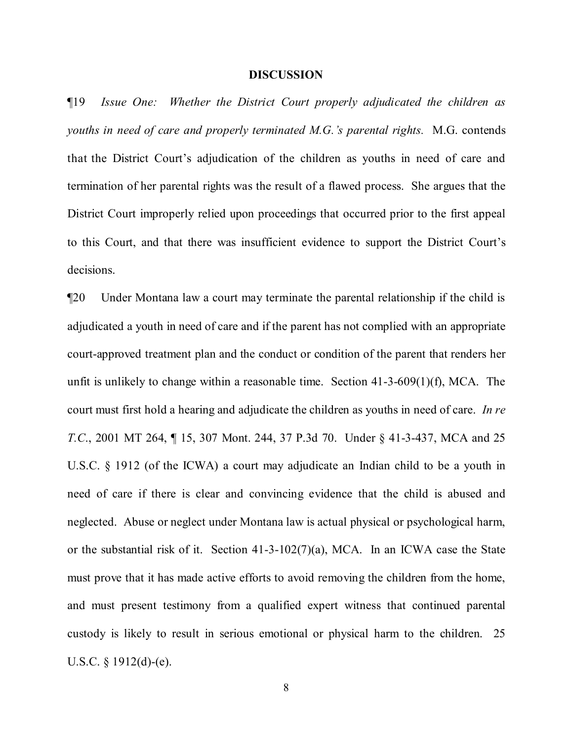### **DISCUSSION**

¶19 *Issue One: Whether the District Court properly adjudicated the children as youths in need of care and properly terminated M.G.'s parental rights.* M.G. contends that the District Court's adjudication of the children as youths in need of care and termination of her parental rights was the result of a flawed process. She argues that the District Court improperly relied upon proceedings that occurred prior to the first appeal to this Court, and that there was insufficient evidence to support the District Court's decisions.

¶20 Under Montana law a court may terminate the parental relationship if the child is adjudicated a youth in need of care and if the parent has not complied with an appropriate court-approved treatment plan and the conduct or condition of the parent that renders her unfit is unlikely to change within a reasonable time. Section 41-3-609(1)(f), MCA. The court must first hold a hearing and adjudicate the children as youths in need of care. *In re T.C.*, 2001 MT 264, ¶ 15, 307 Mont. 244, 37 P.3d 70. Under § 41-3-437, MCA and 25 U.S.C. § 1912 (of the ICWA) a court may adjudicate an Indian child to be a youth in need of care if there is clear and convincing evidence that the child is abused and neglected. Abuse or neglect under Montana law is actual physical or psychological harm, or the substantial risk of it. Section 41-3-102(7)(a), MCA. In an ICWA case the State must prove that it has made active efforts to avoid removing the children from the home, and must present testimony from a qualified expert witness that continued parental custody is likely to result in serious emotional or physical harm to the children. 25 U.S.C. § 1912(d)-(e).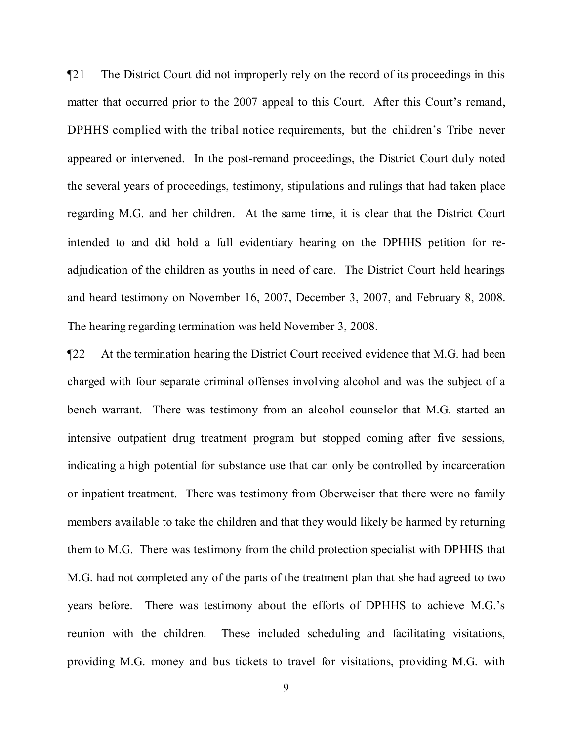¶21 The District Court did not improperly rely on the record of its proceedings in this matter that occurred prior to the 2007 appeal to this Court. After this Court's remand, DPHHS complied with the tribal notice requirements, but the children's Tribe never appeared or intervened. In the post-remand proceedings, the District Court duly noted the several years of proceedings, testimony, stipulations and rulings that had taken place regarding M.G. and her children. At the same time, it is clear that the District Court intended to and did hold a full evidentiary hearing on the DPHHS petition for readjudication of the children as youths in need of care. The District Court held hearings and heard testimony on November 16, 2007, December 3, 2007, and February 8, 2008. The hearing regarding termination was held November 3, 2008.

¶22 At the termination hearing the District Court received evidence that M.G. had been charged with four separate criminal offenses involving alcohol and was the subject of a bench warrant. There was testimony from an alcohol counselor that M.G. started an intensive outpatient drug treatment program but stopped coming after five sessions, indicating a high potential for substance use that can only be controlled by incarceration or inpatient treatment. There was testimony from Oberweiser that there were no family members available to take the children and that they would likely be harmed by returning them to M.G. There was testimony from the child protection specialist with DPHHS that M.G. had not completed any of the parts of the treatment plan that she had agreed to two years before. There was testimony about the efforts of DPHHS to achieve M.G.'s reunion with the children. These included scheduling and facilitating visitations, providing M.G. money and bus tickets to travel for visitations, providing M.G. with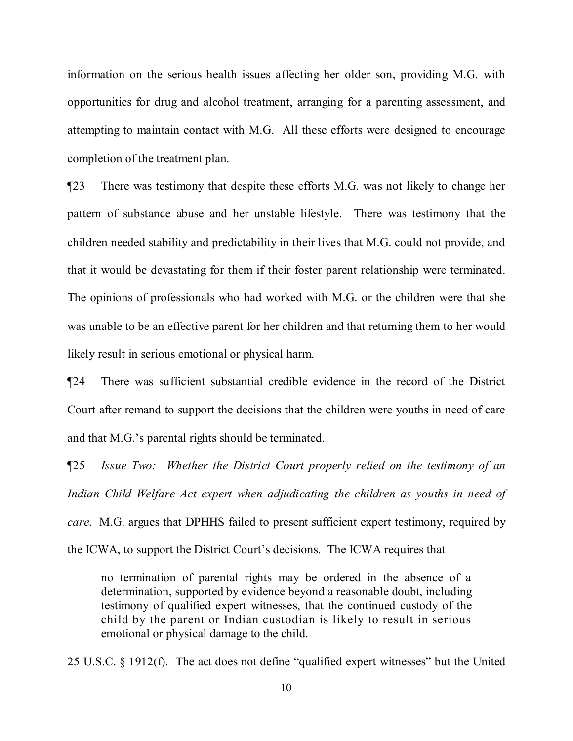information on the serious health issues affecting her older son, providing M.G. with opportunities for drug and alcohol treatment, arranging for a parenting assessment, and attempting to maintain contact with M.G. All these efforts were designed to encourage completion of the treatment plan.

¶23 There was testimony that despite these efforts M.G. was not likely to change her pattern of substance abuse and her unstable lifestyle. There was testimony that the children needed stability and predictability in their lives that M.G. could not provide, and that it would be devastating for them if their foster parent relationship were terminated. The opinions of professionals who had worked with M.G. or the children were that she was unable to be an effective parent for her children and that returning them to her would likely result in serious emotional or physical harm.

¶24 There was sufficient substantial credible evidence in the record of the District Court after remand to support the decisions that the children were youths in need of care and that M.G.'s parental rights should be terminated.

¶25 *Issue Two: Whether the District Court properly relied on the testimony of an Indian Child Welfare Act expert when adjudicating the children as youths in need of care*. M.G. argues that DPHHS failed to present sufficient expert testimony, required by the ICWA, to support the District Court's decisions. The ICWA requires that

no termination of parental rights may be ordered in the absence of a determination, supported by evidence beyond a reasonable doubt, including testimony of qualified expert witnesses, that the continued custody of the child by the parent or Indian custodian is likely to result in serious emotional or physical damage to the child.

25 U.S.C. § 1912(f). The act does not define "qualified expert witnesses" but the United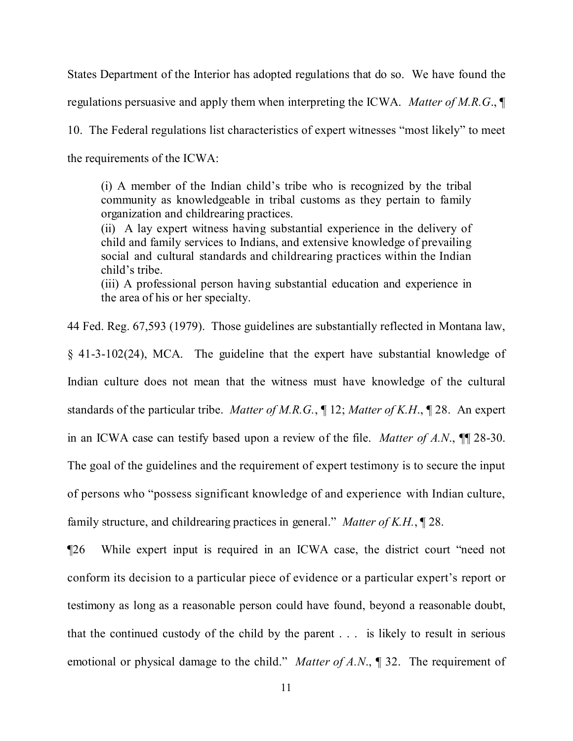States Department of the Interior has adopted regulations that do so. We have found the regulations persuasive and apply them when interpreting the ICWA. *Matter of M.R.G*., ¶

10. The Federal regulations list characteristics of expert witnesses "most likely" to meet the requirements of the ICWA:

(i) A member of the Indian child's tribe who is recognized by the tribal community as knowledgeable in tribal customs as they pertain to family organization and childrearing practices.

(ii) A lay expert witness having substantial experience in the delivery of child and family services to Indians, and extensive knowledge of prevailing social and cultural standards and childrearing practices within the Indian child's tribe.

(iii) A professional person having substantial education and experience in the area of his or her specialty.

44 Fed. Reg. 67,593 (1979). Those guidelines are substantially reflected in Montana law,

§ 41-3-102(24), MCA. The guideline that the expert have substantial knowledge of Indian culture does not mean that the witness must have knowledge of the cultural standards of the particular tribe. *Matter of M.R.G.*, ¶ 12; *Matter of K.H*., ¶ 28. An expert in an ICWA case can testify based upon a review of the file. *Matter of A.N*., ¶¶ 28-30. The goal of the guidelines and the requirement of expert testimony is to secure the input of persons who "possess significant knowledge of and experience with Indian culture, family structure, and childrearing practices in general." *Matter of K.H.*, ¶ 28.

¶26 While expert input is required in an ICWA case, the district court "need not conform its decision to a particular piece of evidence or a particular expert's report or testimony as long as a reasonable person could have found, beyond a reasonable doubt, that the continued custody of the child by the parent . . . is likely to result in serious emotional or physical damage to the child." *Matter of A.N*., ¶ 32. The requirement of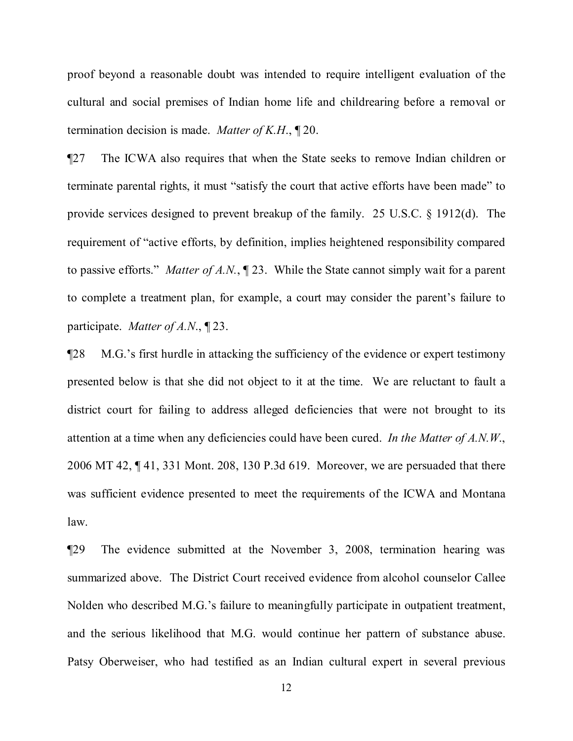proof beyond a reasonable doubt was intended to require intelligent evaluation of the cultural and social premises of Indian home life and childrearing before a removal or termination decision is made. *Matter of K.H*., ¶ 20.

¶27 The ICWA also requires that when the State seeks to remove Indian children or terminate parental rights, it must "satisfy the court that active efforts have been made" to provide services designed to prevent breakup of the family. 25 U.S.C. § 1912(d). The requirement of "active efforts, by definition, implies heightened responsibility compared to passive efforts." *Matter of A.N.*, ¶ 23. While the State cannot simply wait for a parent to complete a treatment plan, for example, a court may consider the parent's failure to participate. *Matter of A.N*., ¶ 23.

¶28 M.G.'s first hurdle in attacking the sufficiency of the evidence or expert testimony presented below is that she did not object to it at the time. We are reluctant to fault a district court for failing to address alleged deficiencies that were not brought to its attention at a time when any deficiencies could have been cured. *In the Matter of A.N.W*., 2006 MT 42, ¶ 41, 331 Mont. 208, 130 P.3d 619. Moreover, we are persuaded that there was sufficient evidence presented to meet the requirements of the ICWA and Montana law.

¶29 The evidence submitted at the November 3, 2008, termination hearing was summarized above. The District Court received evidence from alcohol counselor Callee Nolden who described M.G.'s failure to meaningfully participate in outpatient treatment, and the serious likelihood that M.G. would continue her pattern of substance abuse. Patsy Oberweiser, who had testified as an Indian cultural expert in several previous

12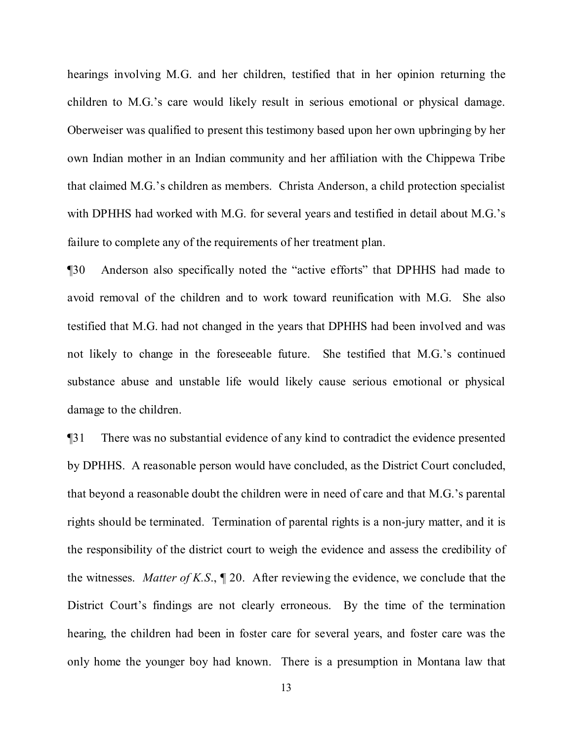hearings involving M.G. and her children, testified that in her opinion returning the children to M.G.'s care would likely result in serious emotional or physical damage. Oberweiser was qualified to present this testimony based upon her own upbringing by her own Indian mother in an Indian community and her affiliation with the Chippewa Tribe that claimed M.G.'s children as members. Christa Anderson, a child protection specialist with DPHHS had worked with M.G. for several years and testified in detail about M.G.'s failure to complete any of the requirements of her treatment plan.

¶30 Anderson also specifically noted the "active efforts" that DPHHS had made to avoid removal of the children and to work toward reunification with M.G. She also testified that M.G. had not changed in the years that DPHHS had been involved and was not likely to change in the foreseeable future. She testified that M.G.'s continued substance abuse and unstable life would likely cause serious emotional or physical damage to the children.

¶31 There was no substantial evidence of any kind to contradict the evidence presented by DPHHS. A reasonable person would have concluded, as the District Court concluded, that beyond a reasonable doubt the children were in need of care and that M.G.'s parental rights should be terminated. Termination of parental rights is a non-jury matter, and it is the responsibility of the district court to weigh the evidence and assess the credibility of the witnesses. *Matter of K.S*., ¶ 20. After reviewing the evidence, we conclude that the District Court's findings are not clearly erroneous. By the time of the termination hearing, the children had been in foster care for several years, and foster care was the only home the younger boy had known. There is a presumption in Montana law that